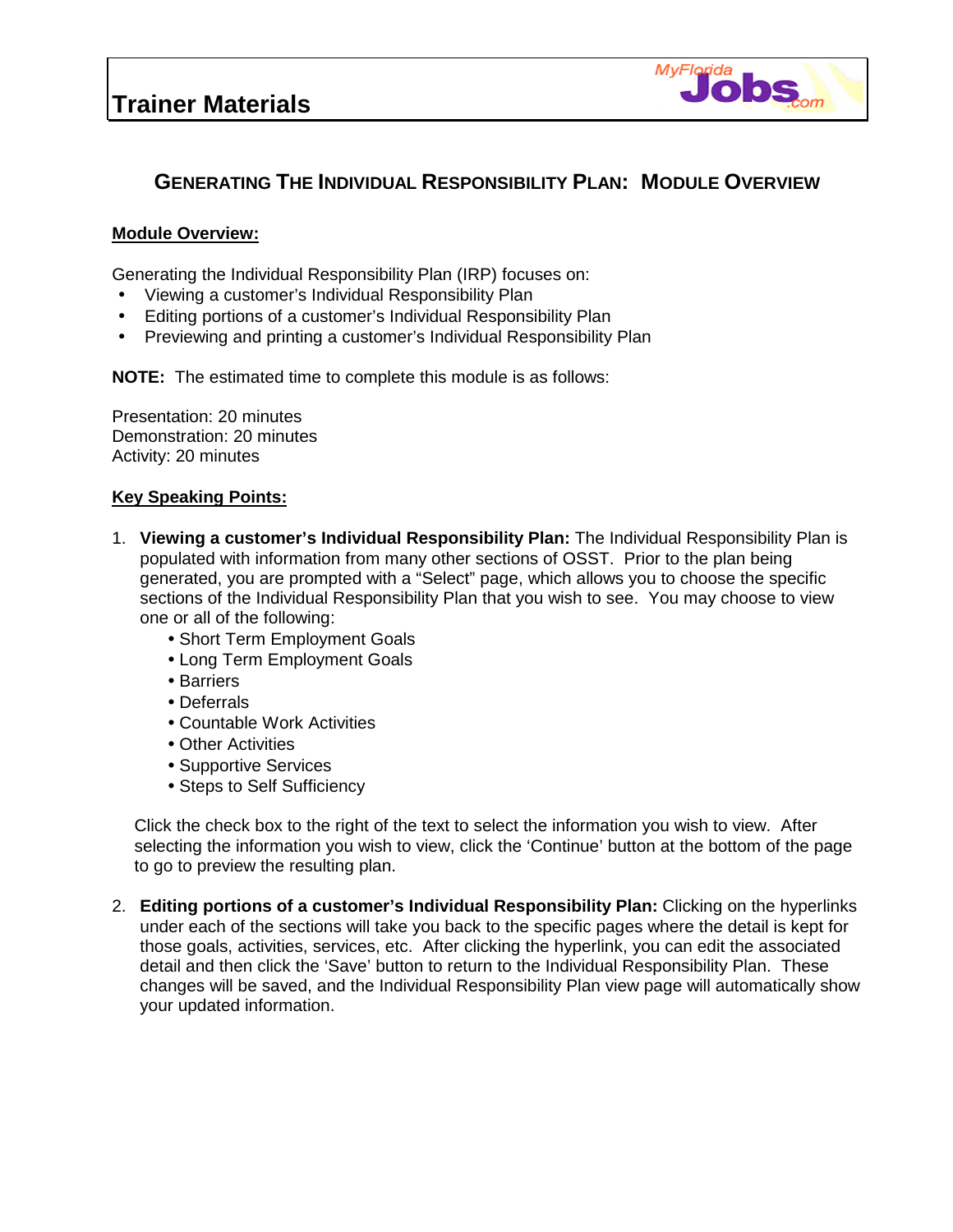

## **GENERATING THE INDIVIDUAL RESPONSIBILITY PLAN: MODULE OVERVIEW**

## **Module Overview:**

Generating the Individual Responsibility Plan (IRP) focuses on:

- Viewing a customer's Individual Responsibility Plan
- Editing portions of a customer's Individual Responsibility Plan
- Previewing and printing a customer's Individual Responsibility Plan

**NOTE:** The estimated time to complete this module is as follows:

Presentation: 20 minutes Demonstration: 20 minutes Activity: 20 minutes

## **Key Speaking Points:**

- 1. **Viewing a customer's Individual Responsibility Plan:** The Individual Responsibility Plan is populated with information from many other sections of OSST. Prior to the plan being generated, you are prompted with a "Select" page, which allows you to choose the specific sections of the Individual Responsibility Plan that you wish to see. You may choose to view one or all of the following:
	- •Short Term Employment Goals
	- •Long Term Employment Goals
	- •Barriers
	- •Deferrals
	- •Countable Work Activities
	- Other Activities
	- •Supportive Services
	- •Steps to Self Sufficiency

Click the check box to the right of the text to select the information you wish to view. After selecting the information you wish to view, click the 'Continue' button at the bottom of the page to go to preview the resulting plan.

2. **Editing portions of a customer's Individual Responsibility Plan:** Clicking on the hyperlinks under each of the sections will take you back to the specific pages where the detail is kept for those goals, activities, services, etc. After clicking the hyperlink, you can edit the associated detail and then click the 'Save' button to return to the Individual Responsibility Plan. These changes will be saved, and the Individual Responsibility Plan view page will automatically show your updated information.